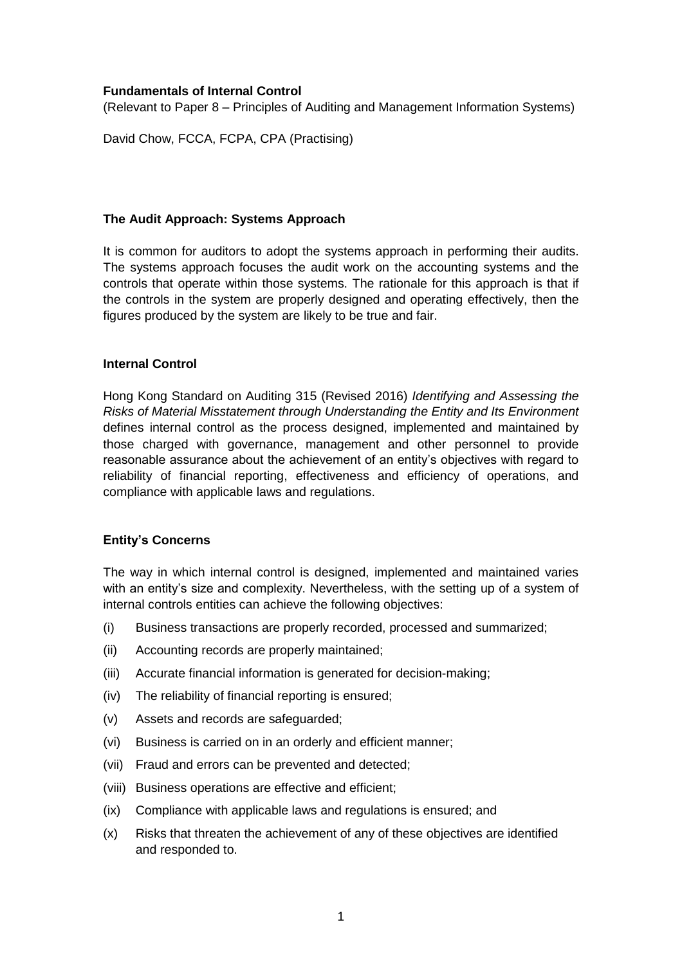## **Fundamentals of Internal Control**

(Relevant to Paper 8 – Principles of Auditing and Management Information Systems)

David Chow, FCCA, FCPA, CPA (Practising)

### **The Audit Approach: Systems Approach**

It is common for auditors to adopt the systems approach in performing their audits. The systems approach focuses the audit work on the accounting systems and the controls that operate within those systems. The rationale for this approach is that if the controls in the system are properly designed and operating effectively, then the figures produced by the system are likely to be true and fair.

### **Internal Control**

Hong Kong Standard on Auditing 315 (Revised 2016) *Identifying and Assessing the Risks of Material Misstatement through Understanding the Entity and Its Environment* defines internal control as the process designed, implemented and maintained by those charged with governance, management and other personnel to provide reasonable assurance about the achievement of an entity's objectives with regard to reliability of financial reporting, effectiveness and efficiency of operations, and compliance with applicable laws and regulations.

## **Entity's Concerns**

The way in which internal control is designed, implemented and maintained varies with an entity's size and complexity. Nevertheless, with the setting up of a system of internal controls entities can achieve the following objectives:

- (i) Business transactions are properly recorded, processed and summarized;
- (ii) Accounting records are properly maintained;
- (iii) Accurate financial information is generated for decision-making;
- (iv) The reliability of financial reporting is ensured;
- (v) Assets and records are safeguarded;
- (vi) Business is carried on in an orderly and efficient manner;
- (vii) Fraud and errors can be prevented and detected;
- (viii) Business operations are effective and efficient;
- (ix) Compliance with applicable laws and regulations is ensured; and
- (x) Risks that threaten the achievement of any of these objectives are identified and responded to.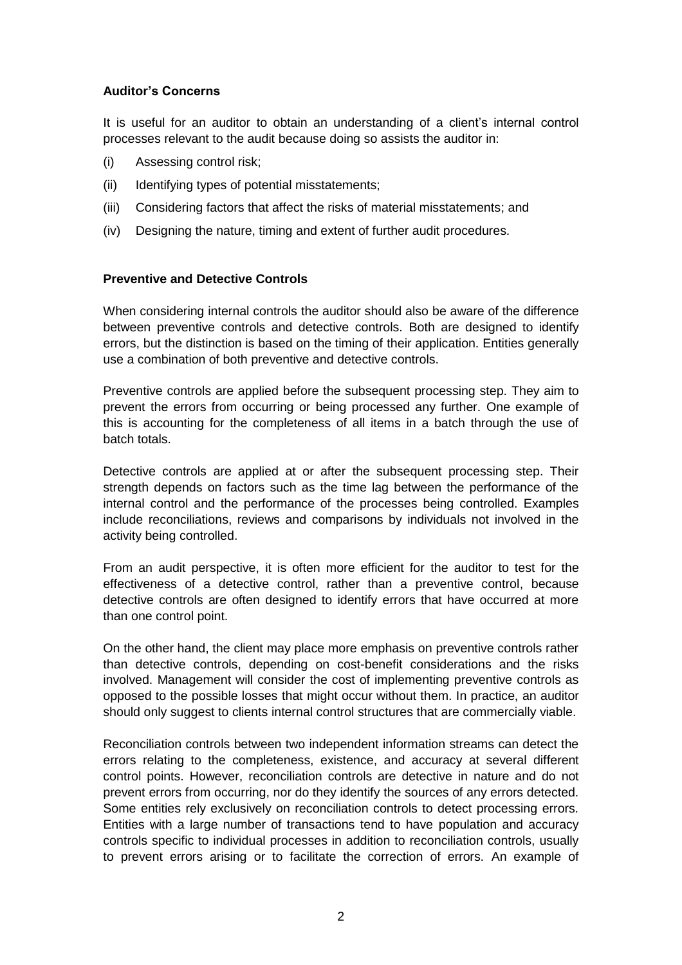# **Auditor's Concerns**

It is useful for an auditor to obtain an understanding of a client's internal control processes relevant to the audit because doing so assists the auditor in:

- (i) Assessing control risk;
- (ii) Identifying types of potential misstatements;
- (iii) Considering factors that affect the risks of material misstatements; and
- (iv) Designing the nature, timing and extent of further audit procedures.

### **Preventive and Detective Controls**

When considering internal controls the auditor should also be aware of the difference between preventive controls and detective controls. Both are designed to identify errors, but the distinction is based on the timing of their application. Entities generally use a combination of both preventive and detective controls.

Preventive controls are applied before the subsequent processing step. They aim to prevent the errors from occurring or being processed any further. One example of this is accounting for the completeness of all items in a batch through the use of batch totals.

Detective controls are applied at or after the subsequent processing step. Their strength depends on factors such as the time lag between the performance of the internal control and the performance of the processes being controlled. Examples include reconciliations, reviews and comparisons by individuals not involved in the activity being controlled.

From an audit perspective, it is often more efficient for the auditor to test for the effectiveness of a detective control, rather than a preventive control, because detective controls are often designed to identify errors that have occurred at more than one control point.

On the other hand, the client may place more emphasis on preventive controls rather than detective controls, depending on cost-benefit considerations and the risks involved. Management will consider the cost of implementing preventive controls as opposed to the possible losses that might occur without them. In practice, an auditor should only suggest to clients internal control structures that are commercially viable.

Reconciliation controls between two independent information streams can detect the errors relating to the completeness, existence, and accuracy at several different control points. However, reconciliation controls are detective in nature and do not prevent errors from occurring, nor do they identify the sources of any errors detected. Some entities rely exclusively on reconciliation controls to detect processing errors. Entities with a large number of transactions tend to have population and accuracy controls specific to individual processes in addition to reconciliation controls, usually to prevent errors arising or to facilitate the correction of errors. An example of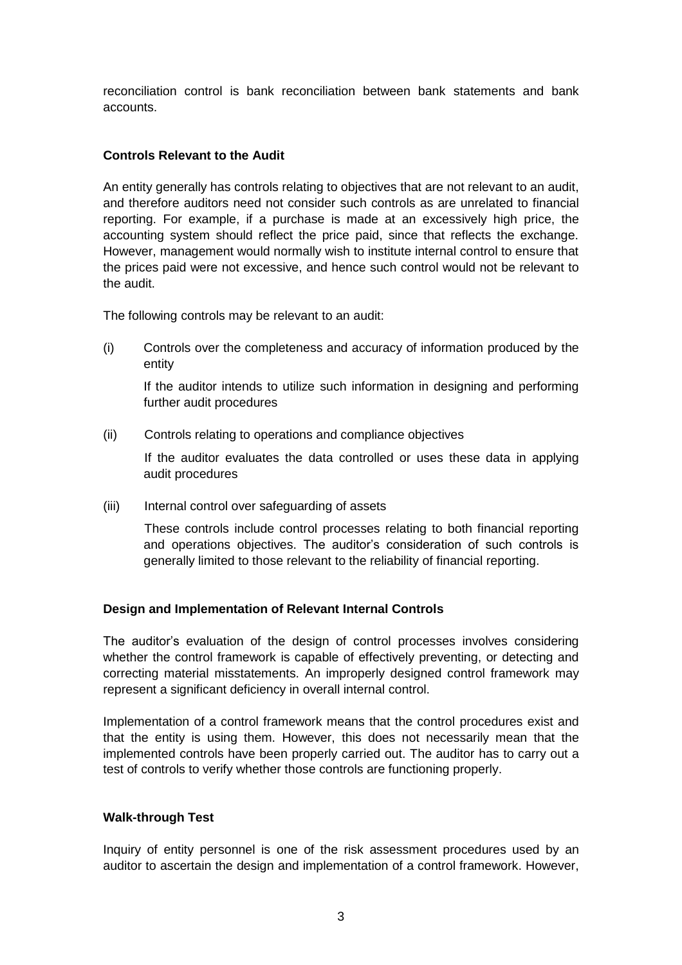reconciliation control is bank reconciliation between bank statements and bank accounts.

# **Controls Relevant to the Audit**

An entity generally has controls relating to objectives that are not relevant to an audit, and therefore auditors need not consider such controls as are unrelated to financial reporting. For example, if a purchase is made at an excessively high price, the accounting system should reflect the price paid, since that reflects the exchange. However, management would normally wish to institute internal control to ensure that the prices paid were not excessive, and hence such control would not be relevant to the audit.

The following controls may be relevant to an audit:

(i) Controls over the completeness and accuracy of information produced by the entity

If the auditor intends to utilize such information in designing and performing further audit procedures

(ii) Controls relating to operations and compliance objectives

If the auditor evaluates the data controlled or uses these data in applying audit procedures

(iii) Internal control over safeguarding of assets

These controls include control processes relating to both financial reporting and operations objectives. The auditor's consideration of such controls is generally limited to those relevant to the reliability of financial reporting.

# **Design and Implementation of Relevant Internal Controls**

The auditor's evaluation of the design of control processes involves considering whether the control framework is capable of effectively preventing, or detecting and correcting material misstatements. An improperly designed control framework may represent a significant deficiency in overall internal control.

Implementation of a control framework means that the control procedures exist and that the entity is using them. However, this does not necessarily mean that the implemented controls have been properly carried out. The auditor has to carry out a test of controls to verify whether those controls are functioning properly.

# **Walk-through Test**

Inquiry of entity personnel is one of the risk assessment procedures used by an auditor to ascertain the design and implementation of a control framework. However,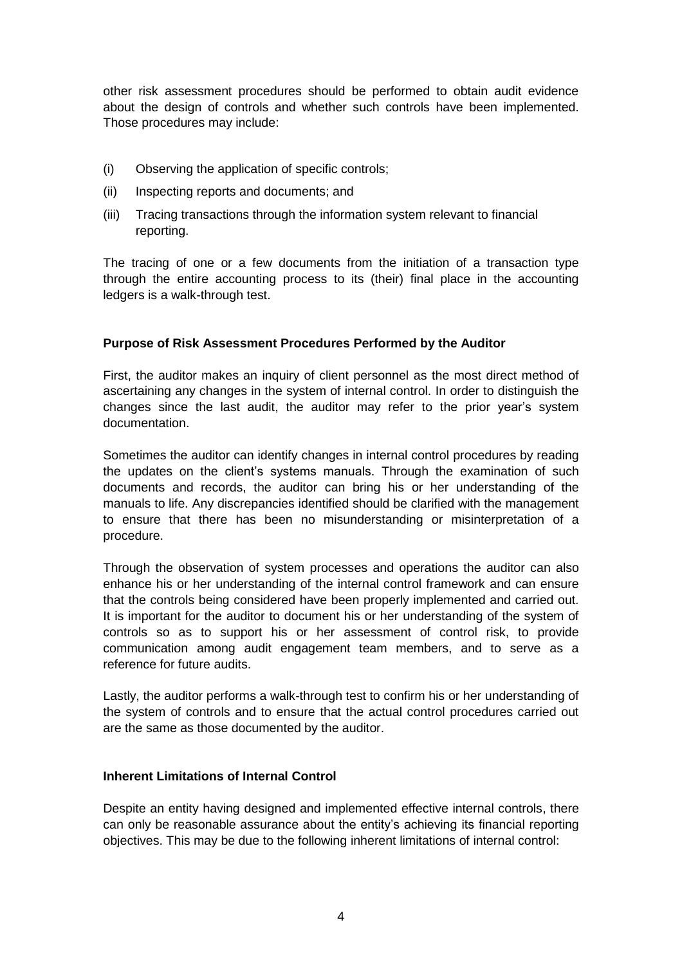other risk assessment procedures should be performed to obtain audit evidence about the design of controls and whether such controls have been implemented. Those procedures may include:

- (i) Observing the application of specific controls;
- (ii) Inspecting reports and documents; and
- (iii) Tracing transactions through the information system relevant to financial reporting.

The tracing of one or a few documents from the initiation of a transaction type through the entire accounting process to its (their) final place in the accounting ledgers is a walk-through test.

### **Purpose of Risk Assessment Procedures Performed by the Auditor**

First, the auditor makes an inquiry of client personnel as the most direct method of ascertaining any changes in the system of internal control. In order to distinguish the changes since the last audit, the auditor may refer to the prior year's system documentation.

Sometimes the auditor can identify changes in internal control procedures by reading the updates on the client's systems manuals. Through the examination of such documents and records, the auditor can bring his or her understanding of the manuals to life. Any discrepancies identified should be clarified with the management to ensure that there has been no misunderstanding or misinterpretation of a procedure.

Through the observation of system processes and operations the auditor can also enhance his or her understanding of the internal control framework and can ensure that the controls being considered have been properly implemented and carried out. It is important for the auditor to document his or her understanding of the system of controls so as to support his or her assessment of control risk, to provide communication among audit engagement team members, and to serve as a reference for future audits.

Lastly, the auditor performs a walk-through test to confirm his or her understanding of the system of controls and to ensure that the actual control procedures carried out are the same as those documented by the auditor.

# **Inherent Limitations of Internal Control**

Despite an entity having designed and implemented effective internal controls, there can only be reasonable assurance about the entity's achieving its financial reporting objectives. This may be due to the following inherent limitations of internal control: